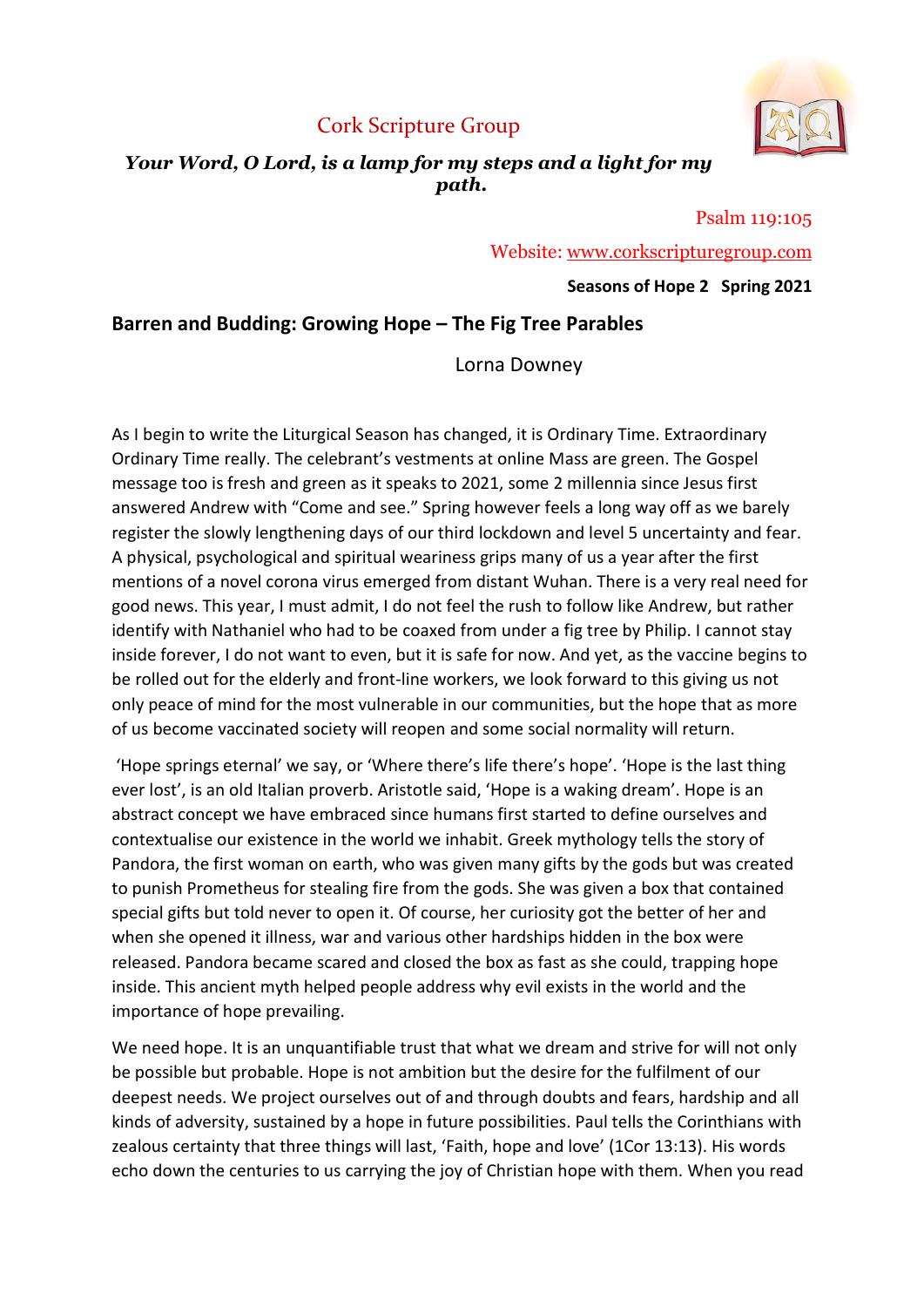## Cork Scripture Group



#### Your Word, O Lord, is a lamp for my steps and a light for my path.

Psalm 119:105

Website: www.corkscripturegroup.com

#### Seasons of Hope 2 Spring 2021

### Barren and Budding: Growing Hope – The Fig Tree Parables

Lorna Downey

As I begin to write the Liturgical Season has changed, it is Ordinary Time. Extraordinary Ordinary Time really. The celebrant's vestments at online Mass are green. The Gospel message too is fresh and green as it speaks to 2021, some 2 millennia since Jesus first answered Andrew with "Come and see." Spring however feels a long way off as we barely register the slowly lengthening days of our third lockdown and level 5 uncertainty and fear. A physical, psychological and spiritual weariness grips many of us a year after the first mentions of a novel corona virus emerged from distant Wuhan. There is a very real need for good news. This year, I must admit, I do not feel the rush to follow like Andrew, but rather identify with Nathaniel who had to be coaxed from under a fig tree by Philip. I cannot stay inside forever, I do not want to even, but it is safe for now. And yet, as the vaccine begins to be rolled out for the elderly and front-line workers, we look forward to this giving us not only peace of mind for the most vulnerable in our communities, but the hope that as more of us become vaccinated society will reopen and some social normality will return.

 'Hope springs eternal' we say, or 'Where there's life there's hope'. 'Hope is the last thing ever lost', is an old Italian proverb. Aristotle said, 'Hope is a waking dream'. Hope is an abstract concept we have embraced since humans first started to define ourselves and contextualise our existence in the world we inhabit. Greek mythology tells the story of Pandora, the first woman on earth, who was given many gifts by the gods but was created to punish Prometheus for stealing fire from the gods. She was given a box that contained special gifts but told never to open it. Of course, her curiosity got the better of her and when she opened it illness, war and various other hardships hidden in the box were released. Pandora became scared and closed the box as fast as she could, trapping hope inside. This ancient myth helped people address why evil exists in the world and the importance of hope prevailing.

We need hope. It is an unquantifiable trust that what we dream and strive for will not only be possible but probable. Hope is not ambition but the desire for the fulfilment of our deepest needs. We project ourselves out of and through doubts and fears, hardship and all kinds of adversity, sustained by a hope in future possibilities. Paul tells the Corinthians with zealous certainty that three things will last, 'Faith, hope and love' (1Cor 13:13). His words echo down the centuries to us carrying the joy of Christian hope with them. When you read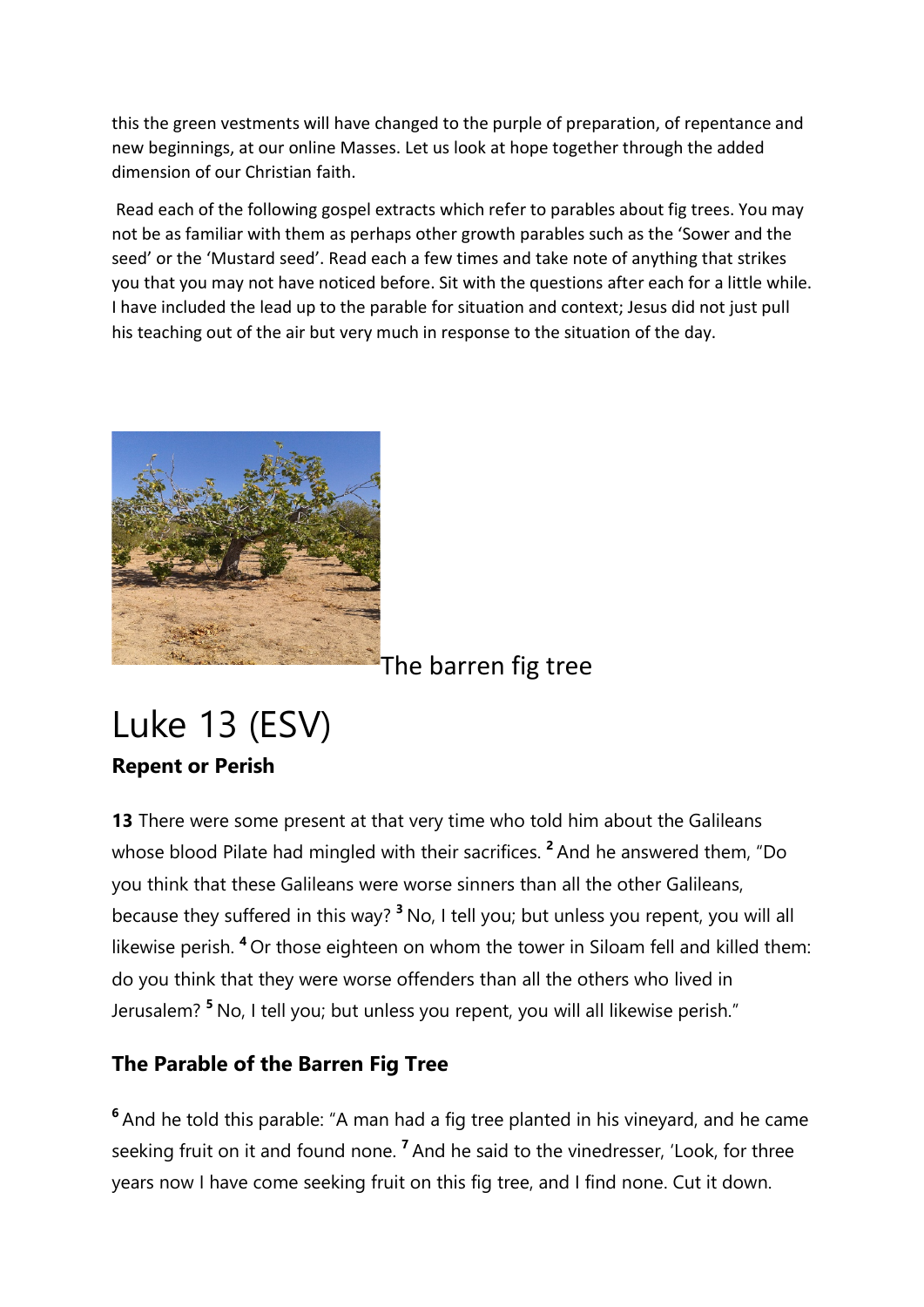this the green vestments will have changed to the purple of preparation, of repentance and new beginnings, at our online Masses. Let us look at hope together through the added dimension of our Christian faith.

 Read each of the following gospel extracts which refer to parables about fig trees. You may not be as familiar with them as perhaps other growth parables such as the 'Sower and the seed' or the 'Mustard seed'. Read each a few times and take note of anything that strikes you that you may not have noticed before. Sit with the questions after each for a little while. I have included the lead up to the parable for situation and context; Jesus did not just pull his teaching out of the air but very much in response to the situation of the day.



## The barren fig tree

# Luke 13 (ESV) Repent or Perish

13 There were some present at that very time who told him about the Galileans whose blood Pilate had mingled with their sacrifices.<sup>2</sup> And he answered them, "Do you think that these Galileans were worse sinners than all the other Galileans, because they suffered in this way? <sup>3</sup> No, I tell you; but unless you repent, you will all likewise perish. <sup>4</sup>Or those eighteen on whom the tower in Siloam fell and killed them: do you think that they were worse offenders than all the others who lived in Jerusalem?<sup>5</sup> No, I tell you; but unless you repent, you will all likewise perish."

## The Parable of the Barren Fig Tree

<sup>6</sup> And he told this parable: "A man had a fig tree planted in his vineyard, and he came seeking fruit on it and found none.  $<sup>7</sup>$  And he said to the vinedresser, 'Look, for three</sup> years now I have come seeking fruit on this fig tree, and I find none. Cut it down.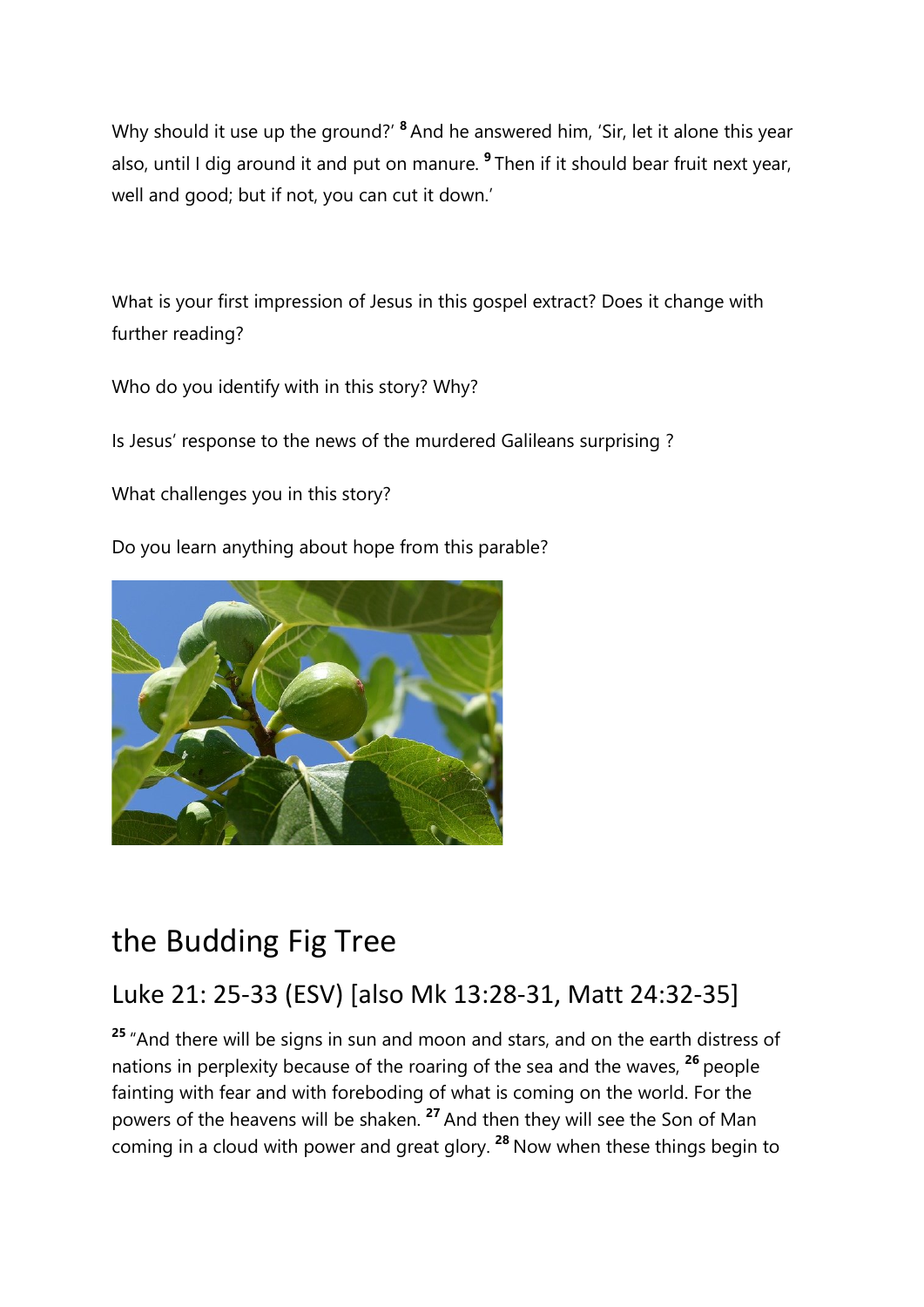Why should it use up the ground?' <sup>8</sup> And he answered him, 'Sir, let it alone this year also, until I dig around it and put on manure.  $9$  Then if it should bear fruit next year, well and good; but if not, you can cut it down.'

What is your first impression of Jesus in this gospel extract? Does it change with further reading?

Who do you identify with in this story? Why?

Is Jesus' response to the news of the murdered Galileans surprising ?

What challenges you in this story?

Do you learn anything about hope from this parable?



# the Budding Fig Tree

# Luke 21: 25-33 (ESV) [also Mk 13:28-31, Matt 24:32-35]

<sup>25</sup> "And there will be signs in sun and moon and stars, and on the earth distress of nations in perplexity because of the roaring of the sea and the waves, <sup>26</sup> people fainting with fear and with foreboding of what is coming on the world. For the powers of the heavens will be shaken. <sup>27</sup> And then they will see the Son of Man coming in a cloud with power and great glory.  $28$  Now when these things begin to